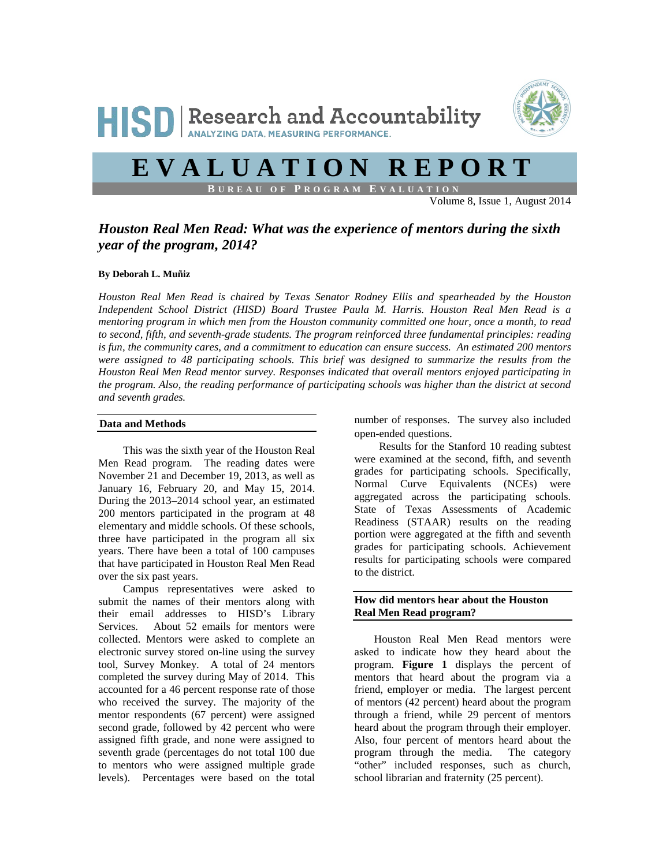

# **EVALUATION REPORT**

**B UREAU OF P ROGRAM E VALUATION**

Volume 8, Issue 1, August 2014

# *Houston Real Men Read: What was the experience of mentors during the sixth year of the program, 2014?*

#### **By Deborah L. Muñiz**

*Houston Real Men Read is chaired by Texas Senator Rodney Ellis and spearheaded by the Houston Independent School District (HISD) Board Trustee Paula M. Harris. Houston Real Men Read is a mentoring program in which men from the Houston community committed one hour, once a month, to read to second, fifth, and seventh-grade students. The program reinforced three fundamental principles: reading is fun, the community cares, and a commitment to education can ensure success. An estimated 200 mentors were assigned to 48 participating schools. This brief was designed to summarize the results from the Houston Real Men Read mentor survey. Responses indicated that overall mentors enjoyed participating in the program. Also, the reading performance of participating schools was higher than the district at second and seventh grades.* 

#### **Data and Methods**

This was the sixth year of the Houston Real Men Read program. The reading dates were November 21 and December 19, 2013, as well as January 16, February 20, and May 15, 2014. During the 2013–2014 school year, an estimated 200 mentors participated in the program at 48 elementary and middle schools. Of these schools, three have participated in the program all six years. There have been a total of 100 campuses that have participated in Houston Real Men Read over the six past years.

Campus representatives were asked to submit the names of their mentors along with their email addresses to HISD's Library Services. About 52 emails for mentors were collected. Mentors were asked to complete an electronic survey stored on-line using the survey tool, Survey Monkey. A total of 24 mentors completed the survey during May of 2014. This accounted for a 46 percent response rate of those who received the survey. The majority of the mentor respondents (67 percent) were assigned second grade, followed by 42 percent who were assigned fifth grade, and none were assigned to seventh grade (percentages do not total 100 due to mentors who were assigned multiple grade levels). Percentages were based on the total

number of responses. The survey also included open-ended questions.

Results for the Stanford 10 reading subtest were examined at the second, fifth, and seventh grades for participating schools. Specifically, Normal Curve Equivalents (NCEs) were aggregated across the participating schools. State of Texas Assessments of Academic Readiness (STAAR) results on the reading portion were aggregated at the fifth and seventh grades for participating schools. Achievement results for participating schools were compared to the district.

#### **How did mentors hear about the Houston Real Men Read program?**

Houston Real Men Read mentors were asked to indicate how they heard about the program. **Figure 1** displays the percent of mentors that heard about the program via a friend, employer or media. The largest percent of mentors (42 percent) heard about the program through a friend, while 29 percent of mentors heard about the program through their employer. Also, four percent of mentors heard about the program through the media. The category "other" included responses, such as church, school librarian and fraternity (25 percent).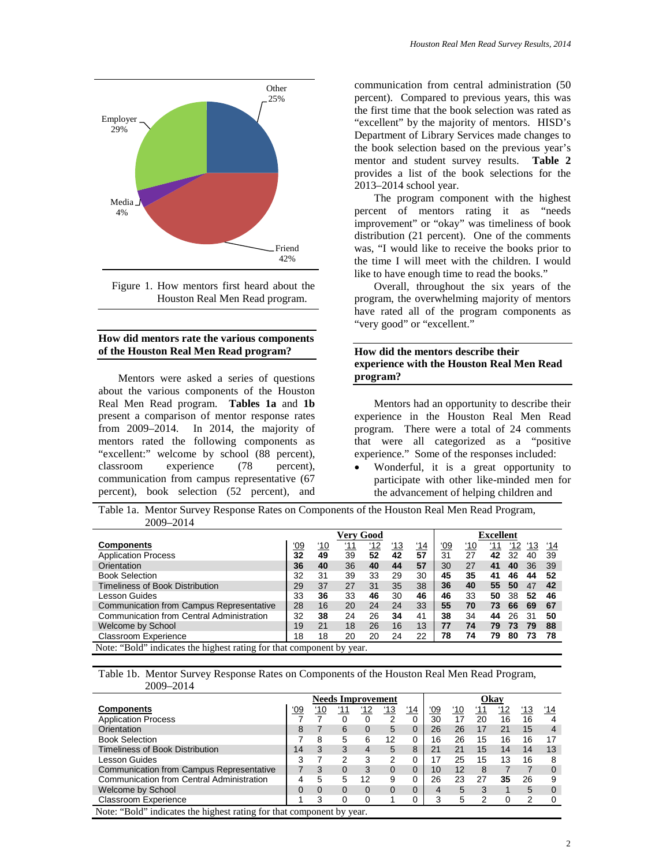

Figure 1. How mentors first heard about the Houston Real Men Read program.

#### **How did mentors rate the various components of the Houston Real Men Read program?**

j

Mentors were asked a series of questions about the various components of the Houston Real Men Read program. **Tables 1a** and **1b** present a comparison of mentor response rates from 2009–2014. In 2014, the majority of mentors rated the following components as "excellent:" welcome by school (88 percent), classroom experience (78 percent), communication from campus representative (67 percent), book selection (52 percent), and

communication from central administration (50 percent). Compared to previous years, this was the first time that the book selection was rated as "excellent" by the majority of mentors. HISD's Department of Library Services made changes to the book selection based on the previous year's mentor and student survey results. **Table 2** provides a list of the book selections for the 2013–2014 school year.

The program component with the highest percent of mentors rating it as "needs improvement" or "okay" was timeliness of book distribution (21 percent). One of the comments was, "I would like to receive the books prior to the time I will meet with the children. I would like to have enough time to read the books."

Overall, throughout the six years of the program, the overwhelming majority of mentors have rated all of the program components as "very good" or "excellent."

### **How did the mentors describe their experience with the Houston Real Men Read program?**

Mentors had an opportunity to describe their experience in the Houston Real Men Read program. There were a total of 24 comments that were all categorized as a "positive experience." Some of the responses included:

• Wonderful, it is a great opportunity to participate with other like-minded men for the advancement of helping children and

Table 1a. Mentor Survey Response Rates on Components of the Houston Real Men Read Program, 2009–2014

|                                           |            |            | Verv Good  |            |            |     |            |            | <b>Excellent</b> |     |     |     |
|-------------------------------------------|------------|------------|------------|------------|------------|-----|------------|------------|------------------|-----|-----|-----|
| Components                                | <u>'09</u> | <u>'10</u> | <u>'11</u> | <u>'12</u> | <u>'13</u> | '14 | <u>'09</u> | <u>'10</u> | '11              | '12 | '13 | 14' |
| <b>Application Process</b>                | 32         | 49         | 39         | 52         | 42         | 57  | 31         | 27         | 42               | 32  | 40  | 39  |
| Orientation                               | 36         | 40         | 36         | 40         | 44         | 57  | 30         | 27         | 41               | 40  | 36  | 39  |
| <b>Book Selection</b>                     | 32         | 31         | 39         | 33         | 29         | 30  | 45         | 35         | 41               | 46  | 44  | 52  |
| Timeliness of Book Distribution           | 29         | 37         | 27         | 31         | 35         | 38  | 36         | 40         | 55               | 50  | 47  | 42  |
| Lesson Guides                             | 33         | 36         | 33         | 46         | 30         | 46  | 46         | 33         | 50               | 38  | 52  | 46  |
| Communication from Campus Representative  | 28         | 16         | 20         | 24         | 24         | 33  | 55         | 70         | 73               | 66  | 69  | 67  |
| Communication from Central Administration | 32         | 38         | 24         | 26         | 34         | 41  | 38         | 34         | 44               | 26  | 31  | 50  |
| Welcome by School                         | 19         | 21         | 18         | 26         | 16         | 13  | 77         | 74         | 79               | 73  | 79  | 88  |
| <b>Classroom Experience</b>               | 18         | 18         | 20         | 20         | 24         | 22  | 78         | 74         | 79               | 80  | 73  | 78  |

#### Table 1b. Mentor Survey Response Rates on Components of the Houston Real Men Read Program, 2009–2014

|                                           |            |            |            | <b>Needs Improvement</b> |            |            |            |            |            | Okav       |            |          |
|-------------------------------------------|------------|------------|------------|--------------------------|------------|------------|------------|------------|------------|------------|------------|----------|
| Components                                | <u>'09</u> | <u>'10</u> | <u>'11</u> | <u>'12</u>               | <u>'13</u> | <u>'14</u> | <u>'09</u> | <u>'10</u> | <u>'11</u> | <u>'12</u> | <u>'13</u> | '14      |
| <b>Application Process</b>                |            |            |            |                          |            | 0          | 30         | 17         | 20         | 16         | 16         | 4        |
| Orientation                               | 8          |            | 6          | $\Omega$                 | 5          | $\Omega$   | 26         | 26         | 17         | 21         | 15         | 4        |
| <b>Book Selection</b>                     |            | 8          | 5          | 6                        | 12         | 0          | 16         | 26         | 15         | 16         | 16         | 17       |
| Timeliness of Book Distribution           | 14         | 3          | 3          | 4                        | 5          | 8          | 21         | 21         | 15         | 14         | 14         | 13       |
| Lesson Guides                             | 3          |            | 2          | 3                        | 2          | 0          | 17         | 25         | 15         | 13         | 16         | 8        |
| Communication from Campus Representative  |            | 3          | $\Omega$   |                          | $\Omega$   | $\Omega$   | 10         | 12         | 8          |            |            | $\Omega$ |
| Communication from Central Administration |            | 5          | 5          | 12                       | 9          | 0          | 26         | 23         | 27         | 35         | 26         | 9        |
| Welcome by School                         | 0          | $\Omega$   | 0          |                          | 0          | $\Omega$   | 4          | 5          | 3          |            | 5          | $\Omega$ |
| Classroom Experience                      |            | 3          | 0          | 0                        |            | 0          | 3          | 5          | 2          | 0          | 2          | ∩        |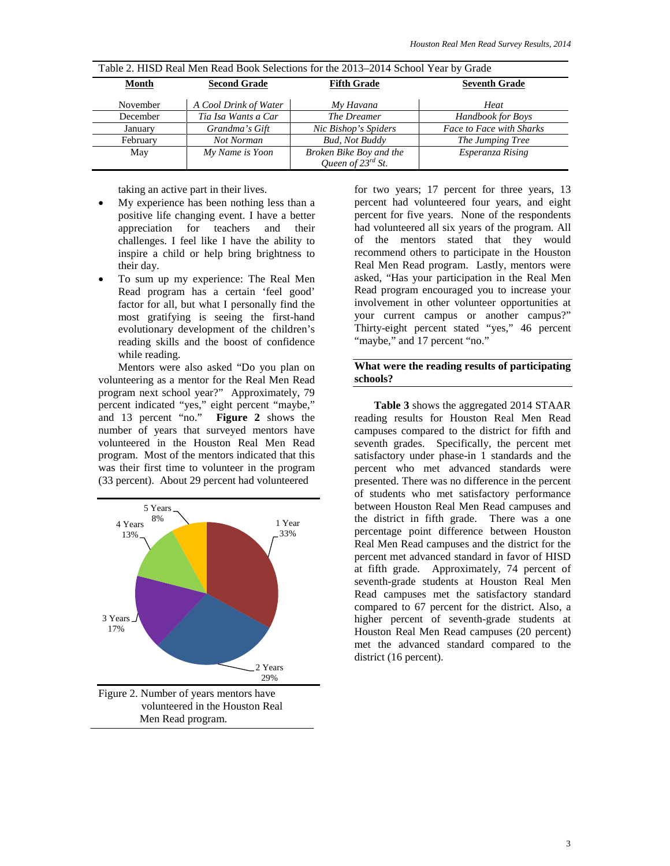| Table 2. These incarried in the Book Scientistics for the 2013–2014 School Team by Grade |                       |                         |                          |  |  |  |  |  |
|------------------------------------------------------------------------------------------|-----------------------|-------------------------|--------------------------|--|--|--|--|--|
| Month                                                                                    | <b>Second Grade</b>   | <b>Fifth Grade</b>      | <b>Seventh Grade</b>     |  |  |  |  |  |
|                                                                                          |                       |                         |                          |  |  |  |  |  |
| November                                                                                 | A Cool Drink of Water | My Havana               | Heat                     |  |  |  |  |  |
| December                                                                                 | Tia Isa Wants a Car   | The Dreamer             | Handbook for Boys        |  |  |  |  |  |
| January                                                                                  | Grandma's Gift        | Nic Bishop's Spiders    | Face to Face with Sharks |  |  |  |  |  |
| February                                                                                 | Not Norman            | <b>Bud, Not Buddy</b>   | The Jumping Tree         |  |  |  |  |  |
| May                                                                                      | My Name is Yoon       | Broken Bike Boy and the | Esperanza Rising         |  |  |  |  |  |
|                                                                                          |                       | Queen of $23^{rd}$ St.  |                          |  |  |  |  |  |

Table 2. HISD Real Men Read Book Selections for the 2013–2014 School Year by Grade

taking an active part in their lives.

- My experience has been nothing less than a positive life changing event. I have a better appreciation for teachers and their challenges. I feel like I have the ability to inspire a child or help bring brightness to their day.
- To sum up my experience: The Real Men Read program has a certain 'feel good' factor for all, but what I personally find the most gratifying is seeing the first-hand evolutionary development of the children's reading skills and the boost of confidence while reading.

Mentors were also asked "Do you plan on volunteering as a mentor for the Real Men Read program next school year?" Approximately, 79 percent indicated "yes," eight percent "maybe," and 13 percent "no." **Figure 2** shows the number of years that surveyed mentors have volunteered in the Houston Real Men Read program. Most of the mentors indicated that this was their first time to volunteer in the program (33 percent). About 29 percent had volunteered



for two years; 17 percent for three years, 13 percent had volunteered four years, and eight percent for five years. None of the respondents had volunteered all six years of the program. All of the mentors stated that they would recommend others to participate in the Houston Real Men Read program. Lastly, mentors were asked, "Has your participation in the Real Men Read program encouraged you to increase your involvement in other volunteer opportunities at your current campus or another campus?" Thirty-eight percent stated "yes," 46 percent "maybe," and 17 percent "no."

#### **What were the reading results of participating schools?**

**Table 3** shows the aggregated 2014 STAAR reading results for Houston Real Men Read campuses compared to the district for fifth and seventh grades. Specifically, the percent met satisfactory under phase-in 1 standards and the percent who met advanced standards were presented. There was no difference in the percent of students who met satisfactory performance between Houston Real Men Read campuses and the district in fifth grade. There was a one percentage point difference between Houston Real Men Read campuses and the district for the percent met advanced standard in favor of HISD at fifth grade. Approximately, 74 percent of seventh-grade students at Houston Real Men Read campuses met the satisfactory standard compared to 67 percent for the district. Also, a higher percent of seventh-grade students at Houston Real Men Read campuses (20 percent) met the advanced standard compared to the district (16 percent).